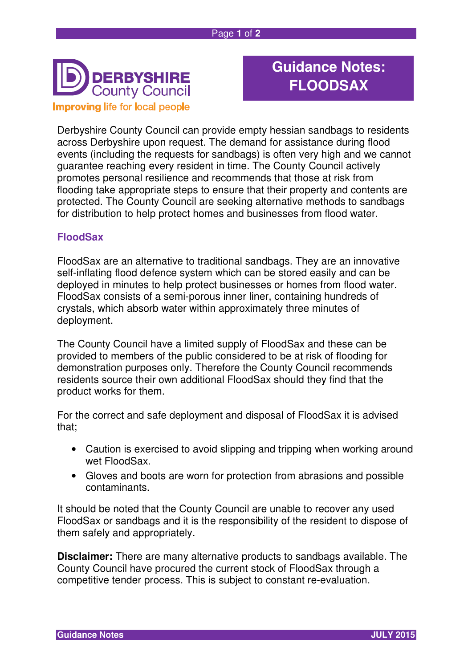

## **Guidance Notes: FLOODSAX**

Derbyshire County Council can provide empty hessian sandbags to residents across Derbyshire upon request. The demand for assistance during flood events (including the requests for sandbags) is often very high and we cannot guarantee reaching every resident in time. The County Council actively promotes personal resilience and recommends that those at risk from flooding take appropriate steps to ensure that their property and contents are protected. The County Council are seeking alternative methods to sandbags for distribution to help protect homes and businesses from flood water.

## **FloodSax**

FloodSax are an alternative to traditional sandbags. They are an innovative self-inflating flood defence system which can be stored easily and can be deployed in minutes to help protect businesses or homes from flood water. FloodSax consists of a semi-porous inner liner, containing hundreds of crystals, which absorb water within approximately three minutes of deployment.

The County Council have a limited supply of FloodSax and these can be provided to members of the public considered to be at risk of flooding for demonstration purposes only. Therefore the County Council recommends residents source their own additional FloodSax should they find that the product works for them.

For the correct and safe deployment and disposal of FloodSax it is advised that;

- Caution is exercised to avoid slipping and tripping when working around wet FloodSax.
- Gloves and boots are worn for protection from abrasions and possible contaminants.

It should be noted that the County Council are unable to recover any used FloodSax or sandbags and it is the responsibility of the resident to dispose of them safely and appropriately.

**Disclaimer:** There are many alternative products to sandbags available. The County Council have procured the current stock of FloodSax through a competitive tender process. This is subject to constant re-evaluation.